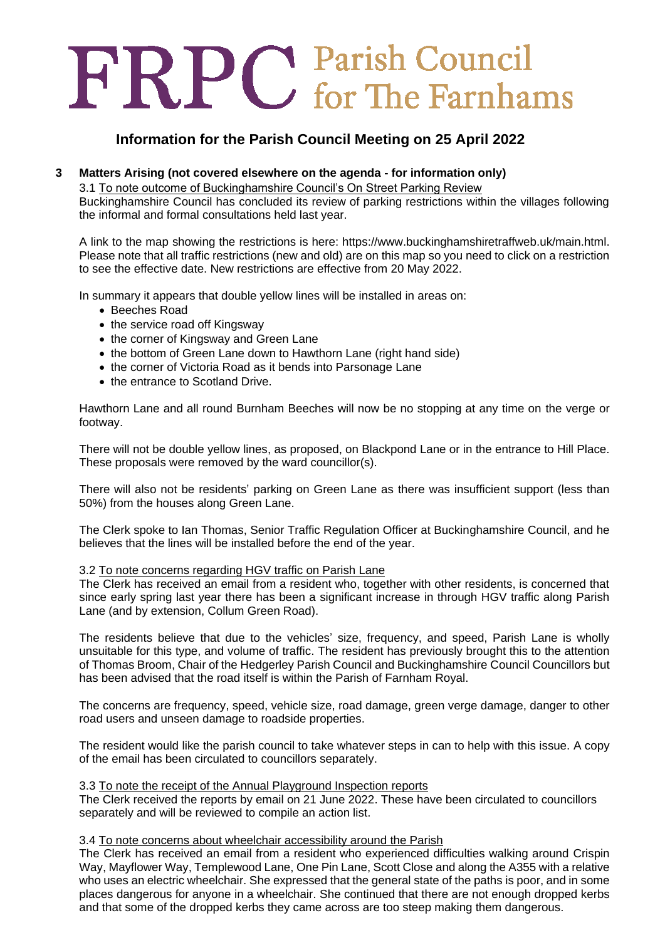# FRPC Parish Council

# **Information for the Parish Council Meeting on 25 April 2022**

# **3 Matters Arising (not covered elsewhere on the agenda - for information only)**

3.1 To note outcome of Buckinghamshire Council's On Street Parking Review

Buckinghamshire Council has concluded its review of parking restrictions within the villages following the informal and formal consultations held last year.

A link to the map showing the restrictions is here: https://www.buckinghamshiretraffweb.uk/main.html. Please note that all traffic restrictions (new and old) are on this map so you need to click on a restriction to see the effective date. New restrictions are effective from 20 May 2022.

In summary it appears that double yellow lines will be installed in areas on:

- Beeches Road
- the service road off Kingsway
- the corner of Kingsway and Green Lane
- the bottom of Green Lane down to Hawthorn Lane (right hand side)
- the corner of Victoria Road as it bends into Parsonage Lane
- the entrance to Scotland Drive.

Hawthorn Lane and all round Burnham Beeches will now be no stopping at any time on the verge or footway.

There will not be double yellow lines, as proposed, on Blackpond Lane or in the entrance to Hill Place. These proposals were removed by the ward councillor(s).

There will also not be residents' parking on Green Lane as there was insufficient support (less than 50%) from the houses along Green Lane.

The Clerk spoke to Ian Thomas, Senior Traffic Regulation Officer at Buckinghamshire Council, and he believes that the lines will be installed before the end of the year.

#### 3.2 To note concerns regarding HGV traffic on Parish Lane

The Clerk has received an email from a resident who, together with other residents, is concerned that since early spring last year there has been a significant increase in through HGV traffic along Parish Lane (and by extension, Collum Green Road).

The residents believe that due to the vehicles' size, frequency, and speed, Parish Lane is wholly unsuitable for this type, and volume of traffic. The resident has previously brought this to the attention of Thomas Broom, Chair of the Hedgerley Parish Council and Buckinghamshire Council Councillors but has been advised that the road itself is within the Parish of Farnham Royal.

The concerns are frequency, speed, vehicle size, road damage, green verge damage, danger to other road users and unseen damage to roadside properties.

The resident would like the parish council to take whatever steps in can to help with this issue. A copy of the email has been circulated to councillors separately.

#### 3.3 To note the receipt of the Annual Playground Inspection reports

The Clerk received the reports by email on 21 June 2022. These have been circulated to councillors separately and will be reviewed to compile an action list.

#### 3.4 To note concerns about wheelchair accessibility around the Parish

The Clerk has received an email from a resident who experienced difficulties walking around Crispin Way, Mayflower Way, Templewood Lane, One Pin Lane, Scott Close and along the A355 with a relative who uses an electric wheelchair. She expressed that the general state of the paths is poor, and in some places dangerous for anyone in a wheelchair. She continued that there are not enough dropped kerbs and that some of the dropped kerbs they came across are too steep making them dangerous.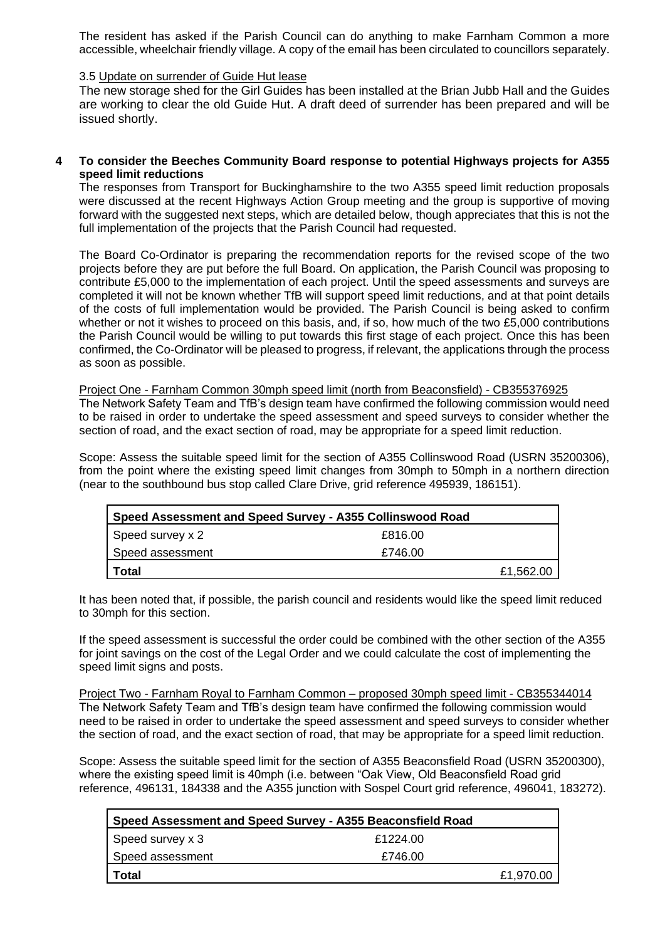The resident has asked if the Parish Council can do anything to make Farnham Common a more accessible, wheelchair friendly village. A copy of the email has been circulated to councillors separately.

#### 3.5 Update on surrender of Guide Hut lease

The new storage shed for the Girl Guides has been installed at the Brian Jubb Hall and the Guides are working to clear the old Guide Hut. A draft deed of surrender has been prepared and will be issued shortly.

#### **4 To consider the Beeches Community Board response to potential Highways projects for A355 speed limit reductions**

The responses from Transport for Buckinghamshire to the two A355 speed limit reduction proposals were discussed at the recent Highways Action Group meeting and the group is supportive of moving forward with the suggested next steps, which are detailed below, though appreciates that this is not the full implementation of the projects that the Parish Council had requested.

The Board Co-Ordinator is preparing the recommendation reports for the revised scope of the two projects before they are put before the full Board. On application, the Parish Council was proposing to contribute £5,000 to the implementation of each project. Until the speed assessments and surveys are completed it will not be known whether TfB will support speed limit reductions, and at that point details of the costs of full implementation would be provided. The Parish Council is being asked to confirm whether or not it wishes to proceed on this basis, and, if so, how much of the two £5,000 contributions the Parish Council would be willing to put towards this first stage of each project. Once this has been confirmed, the Co-Ordinator will be pleased to progress, if relevant, the applications through the process as soon as possible.

Project One - Farnham Common 30mph speed limit (north from Beaconsfield) - CB355376925 The Network Safety Team and TfB's design team have confirmed the following commission would need to be raised in order to undertake the speed assessment and speed surveys to consider whether the section of road, and the exact section of road, may be appropriate for a speed limit reduction.

Scope: Assess the suitable speed limit for the section of A355 Collinswood Road (USRN 35200306), from the point where the existing speed limit changes from 30mph to 50mph in a northern direction (near to the southbound bus stop called Clare Drive, grid reference 495939, 186151).

| Speed Assessment and Speed Survey - A355 Collinswood Road |         |           |
|-----------------------------------------------------------|---------|-----------|
| Speed survey x 2                                          | £816.00 |           |
| Speed assessment                                          | £746.00 |           |
| Total                                                     |         | £1,562.00 |

It has been noted that, if possible, the parish council and residents would like the speed limit reduced to 30mph for this section.

If the speed assessment is successful the order could be combined with the other section of the A355 for joint savings on the cost of the Legal Order and we could calculate the cost of implementing the speed limit signs and posts.

Project Two - Farnham Royal to Farnham Common – proposed 30mph speed limit - CB355344014 The Network Safety Team and TfB's design team have confirmed the following commission would need to be raised in order to undertake the speed assessment and speed surveys to consider whether the section of road, and the exact section of road, that may be appropriate for a speed limit reduction.

Scope: Assess the suitable speed limit for the section of A355 Beaconsfield Road (USRN 35200300), where the existing speed limit is 40mph (i.e. between "Oak View, Old Beaconsfield Road grid reference, 496131, 184338 and the A355 junction with Sospel Court grid reference, 496041, 183272).

| Speed Assessment and Speed Survey - A355 Beaconsfield Road |          |           |
|------------------------------------------------------------|----------|-----------|
| Speed survey x 3                                           | £1224.00 |           |
| Speed assessment                                           | £746.00  |           |
| l Total                                                    |          | £1,970.00 |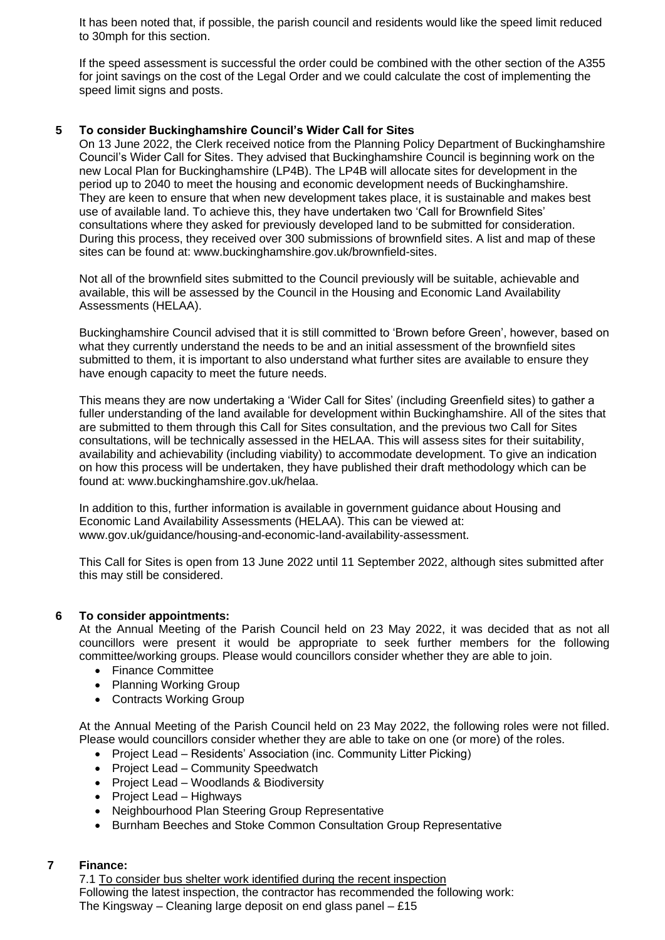It has been noted that, if possible, the parish council and residents would like the speed limit reduced to 30mph for this section.

If the speed assessment is successful the order could be combined with the other section of the A355 for joint savings on the cost of the Legal Order and we could calculate the cost of implementing the speed limit signs and posts.

#### **5 To consider Buckinghamshire Council's Wider Call for Sites**

On 13 June 2022, the Clerk received notice from the Planning Policy Department of Buckinghamshire Council's Wider Call for Sites. They advised that Buckinghamshire Council is beginning work on the new Local Plan for Buckinghamshire (LP4B). The LP4B will allocate sites for development in the period up to 2040 to meet the housing and economic development needs of Buckinghamshire. They are keen to ensure that when new development takes place, it is sustainable and makes best use of available land. To achieve this, they have undertaken two 'Call for Brownfield Sites' consultations where they asked for previously developed land to be submitted for consideration. During this process, they received over 300 submissions of brownfield sites. A list and map of these sites can be found at: www.buckinghamshire.gov.uk/brownfield-sites.

Not all of the brownfield sites submitted to the Council previously will be suitable, achievable and available, this will be assessed by the Council in the Housing and Economic Land Availability Assessments (HELAA).

Buckinghamshire Council advised that it is still committed to 'Brown before Green', however, based on what they currently understand the needs to be and an initial assessment of the brownfield sites submitted to them, it is important to also understand what further sites are available to ensure they have enough capacity to meet the future needs.

This means they are now undertaking a 'Wider Call for Sites' (including Greenfield sites) to gather a fuller understanding of the land available for development within Buckinghamshire. All of the sites that are submitted to them through this Call for Sites consultation, and the previous two Call for Sites consultations, will be technically assessed in the HELAA. This will assess sites for their suitability, availability and achievability (including viability) to accommodate development. To give an indication on how this process will be undertaken, they have published their draft methodology which can be found at: www.buckinghamshire.gov.uk/helaa.

In addition to this, further information is available in government guidance about Housing and Economic Land Availability Assessments (HELAA). This can be viewed at: www.gov.uk/guidance/housing-and-economic-land-availability-assessment.

This Call for Sites is open from 13 June 2022 until 11 September 2022, although sites submitted after this may still be considered.

#### **6 To consider appointments:**

At the Annual Meeting of the Parish Council held on 23 May 2022, it was decided that as not all councillors were present it would be appropriate to seek further members for the following committee/working groups. Please would councillors consider whether they are able to join.

- Finance Committee
- Planning Working Group
- Contracts Working Group

At the Annual Meeting of the Parish Council held on 23 May 2022, the following roles were not filled. Please would councillors consider whether they are able to take on one (or more) of the roles.

- Project Lead Residents' Association (inc. Community Litter Picking)
- Project Lead Community Speedwatch
- Project Lead Woodlands & Biodiversity
- Project Lead Highways
- Neighbourhood Plan Steering Group Representative
- Burnham Beeches and Stoke Common Consultation Group Representative

#### **7 Finance:**

7.1 To consider bus shelter work identified during the recent inspection Following the latest inspection, the contractor has recommended the following work: The Kingsway – Cleaning large deposit on end glass panel – £15